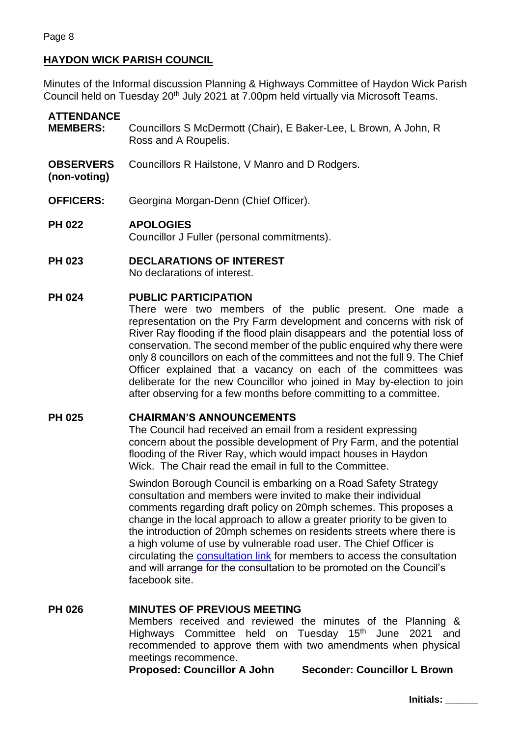# **HAYDON WICK PARISH COUNCIL**

Minutes of the Informal discussion Planning & Highways Committee of Haydon Wick Parish Council held on Tuesday 20th July 2021 at 7.00pm held virtually via Microsoft Teams.

# **ATTENDANCE**

- **MEMBERS:** Councillors S McDermott (Chair), E Baker-Lee, L Brown, A John, R Ross and A Roupelis.
- **OBSERVERS** Councillors R Hailstone, V Manro and D Rodgers.
- **(non-voting)**
- **OFFICERS:** Georgina Morgan-Denn (Chief Officer).

# **PH 022 APOLOGIES**

Councillor J Fuller (personal commitments).

**PH 023 DECLARATIONS OF INTEREST** No declarations of interest.

#### **PH 024 PUBLIC PARTICIPATION**

There were two members of the public present. One made a representation on the Pry Farm development and concerns with risk of River Ray flooding if the flood plain disappears and the potential loss of conservation. The second member of the public enquired why there were only 8 councillors on each of the committees and not the full 9. The Chief Officer explained that a vacancy on each of the committees was deliberate for the new Councillor who joined in May by-election to join after observing for a few months before committing to a committee.

# **PH 025 CHAIRMAN'S ANNOUNCEMENTS**

The Council had received an email from a resident expressing concern about the possible development of Pry Farm, and the potential flooding of the River Ray, which would impact houses in Haydon Wick. The Chair read the email in full to the Committee.

Swindon Borough Council is embarking on a Road Safety Strategy consultation and members were invited to make their individual comments regarding draft policy on 20mph schemes. This proposes a change in the local approach to allow a greater priority to be given to the introduction of 20mph schemes on residents streets where there is a high volume of use by vulnerable road user. The Chief Officer is circulating the [consultation link](https://www.swindon.gov.uk/info/20019/consultations_engagement_and_surveys/1201/road_safety_strategy_and_20mph_schemes_consultation) for members to access the consultation and will arrange for the consultation to be promoted on the Council's facebook site.

# **PH 026 MINUTES OF PREVIOUS MEETING**

Members received and reviewed the minutes of the Planning & Highways Committee held on Tuesday 15<sup>th</sup> June 2021 and recommended to approve them with two amendments when physical meetings recommence.

**Proposed: Councillor A John Seconder: Councillor L Brown**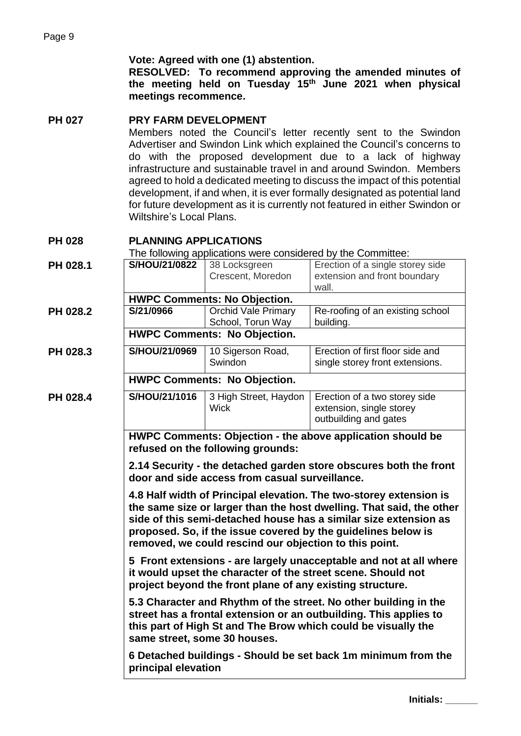#### **Vote: Agreed with one (1) abstention.**

**RESOLVED: To recommend approving the amended minutes of the meeting held on Tuesday 15th June 2021 when physical meetings recommence.**

#### **PH 027 PRY FARM DEVELOPMENT**

Members noted the Council's letter recently sent to the Swindon Advertiser and Swindon Link which explained the Council's concerns to do with the proposed development due to a lack of highway infrastructure and sustainable travel in and around Swindon. Members agreed to hold a dedicated meeting to discuss the impact of this potential development, if and when, it is ever formally designated as potential land for future development as it is currently not featured in either Swindon or Wiltshire's Local Plans.

# **PH 028 PLANNING APPLICATIONS**

The following applications were considered by the Committee:

| PH 028.1 | S/HOU/21/0822                                                                                                                                                                                                                                                                                                                             | 38 Locksgreen                        | Erection of a single storey side                                                   |  |  |  |
|----------|-------------------------------------------------------------------------------------------------------------------------------------------------------------------------------------------------------------------------------------------------------------------------------------------------------------------------------------------|--------------------------------------|------------------------------------------------------------------------------------|--|--|--|
|          |                                                                                                                                                                                                                                                                                                                                           | Crescent, Moredon                    | extension and front boundary                                                       |  |  |  |
|          |                                                                                                                                                                                                                                                                                                                                           |                                      | wall.                                                                              |  |  |  |
| PH 028.2 | <b>HWPC Comments: No Objection.</b><br><b>Orchid Vale Primary</b><br>S/21/0966<br>Re-roofing of an existing school                                                                                                                                                                                                                        |                                      |                                                                                    |  |  |  |
|          |                                                                                                                                                                                                                                                                                                                                           | School, Torun Way                    | building.                                                                          |  |  |  |
|          | <b>HWPC Comments: No Objection.</b>                                                                                                                                                                                                                                                                                                       |                                      |                                                                                    |  |  |  |
| PH 028.3 | S/HOU/21/0969                                                                                                                                                                                                                                                                                                                             | 10 Sigerson Road,                    | Erection of first floor side and                                                   |  |  |  |
|          |                                                                                                                                                                                                                                                                                                                                           | Swindon                              | single storey front extensions.                                                    |  |  |  |
|          | <b>HWPC Comments: No Objection.</b>                                                                                                                                                                                                                                                                                                       |                                      |                                                                                    |  |  |  |
| PH 028.4 | S/HOU/21/1016                                                                                                                                                                                                                                                                                                                             | 3 High Street, Haydon<br><b>Wick</b> | Erection of a two storey side<br>extension, single storey<br>outbuilding and gates |  |  |  |
|          | HWPC Comments: Objection - the above application should be<br>refused on the following grounds:                                                                                                                                                                                                                                           |                                      |                                                                                    |  |  |  |
|          | 2.14 Security - the detached garden store obscures both the front<br>door and side access from casual surveillance.                                                                                                                                                                                                                       |                                      |                                                                                    |  |  |  |
|          | 4.8 Half width of Principal elevation. The two-storey extension is<br>the same size or larger than the host dwelling. That said, the other<br>side of this semi-detached house has a similar size extension as<br>proposed. So, if the issue covered by the guidelines below is<br>removed, we could rescind our objection to this point. |                                      |                                                                                    |  |  |  |
|          | 5 Front extensions - are largely unacceptable and not at all where<br>it would upset the character of the street scene. Should not<br>project beyond the front plane of any existing structure.                                                                                                                                           |                                      |                                                                                    |  |  |  |
|          | 5.3 Character and Rhythm of the street. No other building in the<br>street has a frontal extension or an outbuilding. This applies to<br>this part of High St and The Brow which could be visually the<br>same street, some 30 houses.                                                                                                    |                                      |                                                                                    |  |  |  |
|          | 6 Detached buildings - Should be set back 1m minimum from the<br>principal elevation                                                                                                                                                                                                                                                      |                                      |                                                                                    |  |  |  |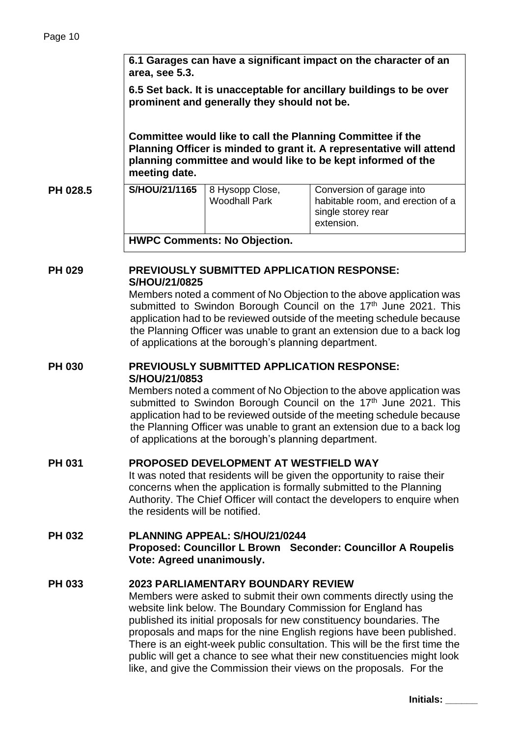|               | 6.1 Garages can have a significant impact on the character of an<br>area, see 5.3.<br>6.5 Set back. It is unacceptable for ancillary buildings to be over<br>prominent and generally they should not be.<br>Committee would like to call the Planning Committee if the<br>Planning Officer is minded to grant it. A representative will attend<br>planning committee and would like to be kept informed of the<br>meeting date.                                                                                                                           |                                         |                                                                                                    |  |  |  |
|---------------|-----------------------------------------------------------------------------------------------------------------------------------------------------------------------------------------------------------------------------------------------------------------------------------------------------------------------------------------------------------------------------------------------------------------------------------------------------------------------------------------------------------------------------------------------------------|-----------------------------------------|----------------------------------------------------------------------------------------------------|--|--|--|
|               |                                                                                                                                                                                                                                                                                                                                                                                                                                                                                                                                                           |                                         |                                                                                                    |  |  |  |
|               |                                                                                                                                                                                                                                                                                                                                                                                                                                                                                                                                                           |                                         |                                                                                                    |  |  |  |
| PH 028.5      | S/HOU/21/1165                                                                                                                                                                                                                                                                                                                                                                                                                                                                                                                                             | 8 Hysopp Close,<br><b>Woodhall Park</b> | Conversion of garage into<br>habitable room, and erection of a<br>single storey rear<br>extension. |  |  |  |
|               | <b>HWPC Comments: No Objection.</b>                                                                                                                                                                                                                                                                                                                                                                                                                                                                                                                       |                                         |                                                                                                    |  |  |  |
| <b>PH 029</b> | PREVIOUSLY SUBMITTED APPLICATION RESPONSE:<br>S/HOU/21/0825<br>Members noted a comment of No Objection to the above application was<br>submitted to Swindon Borough Council on the 17th June 2021. This<br>application had to be reviewed outside of the meeting schedule because<br>the Planning Officer was unable to grant an extension due to a back log<br>of applications at the borough's planning department.                                                                                                                                     |                                         |                                                                                                    |  |  |  |
|               |                                                                                                                                                                                                                                                                                                                                                                                                                                                                                                                                                           |                                         |                                                                                                    |  |  |  |
| <b>PH 030</b> | <b>PREVIOUSLY SUBMITTED APPLICATION RESPONSE:</b><br>S/HOU/21/0853<br>Members noted a comment of No Objection to the above application was<br>submitted to Swindon Borough Council on the 17th June 2021. This<br>application had to be reviewed outside of the meeting schedule because<br>the Planning Officer was unable to grant an extension due to a back log<br>of applications at the borough's planning department.                                                                                                                              |                                         |                                                                                                    |  |  |  |
|               |                                                                                                                                                                                                                                                                                                                                                                                                                                                                                                                                                           |                                         |                                                                                                    |  |  |  |
| <b>PH 031</b> | PROPOSED DEVELOPMENT AT WESTFIELD WAY<br>It was noted that residents will be given the opportunity to raise their<br>concerns when the application is formally submitted to the Planning<br>Authority. The Chief Officer will contact the developers to enquire when<br>the residents will be notified.                                                                                                                                                                                                                                                   |                                         |                                                                                                    |  |  |  |
| <b>PH 032</b> | PLANNING APPEAL: S/HOU/21/0244<br>Proposed: Councillor L Brown Seconder: Councillor A Roupelis<br>Vote: Agreed unanimously.                                                                                                                                                                                                                                                                                                                                                                                                                               |                                         |                                                                                                    |  |  |  |
| <b>PH 033</b> | 2023 PARLIAMENTARY BOUNDARY REVIEW<br>Members were asked to submit their own comments directly using the<br>website link below. The Boundary Commission for England has<br>published its initial proposals for new constituency boundaries. The<br>proposals and maps for the nine English regions have been published.<br>There is an eight-week public consultation. This will be the first time the<br>public will get a chance to see what their new constituencies might look<br>like, and give the Commission their views on the proposals. For the |                                         |                                                                                                    |  |  |  |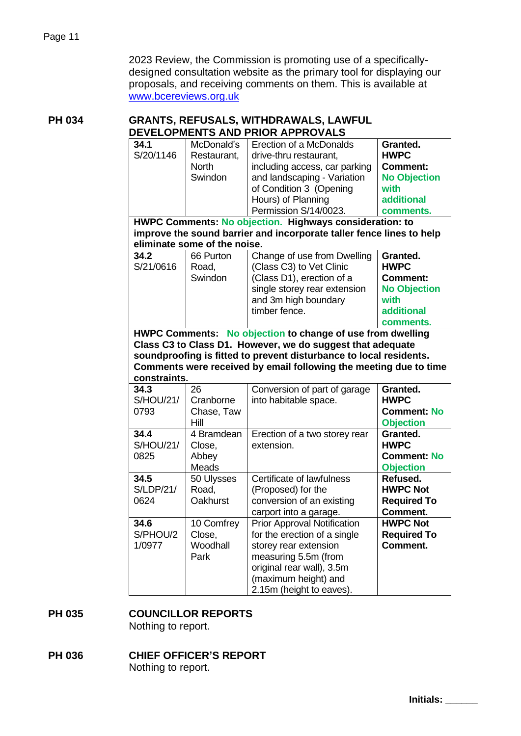2023 Review, the Commission is promoting use of a specificallydesigned consultation website as the primary tool for displaying our proposals, and receiving comments on them. This is available at [www.bcereviews.org.uk](http://www.bcereviews.org.uk/)

#### **PH 034 GRANTS, REFUSALS, WITHDRAWALS, LAWFUL DEVELOPMENTS AND PRIOR APPROVALS**

| 34.1                                                                 | McDonald's                   | Erection of a McDonalds                                            | Granted.            |  |  |  |  |
|----------------------------------------------------------------------|------------------------------|--------------------------------------------------------------------|---------------------|--|--|--|--|
| S/20/1146                                                            | Restaurant,                  | drive-thru restaurant,                                             | <b>HWPC</b>         |  |  |  |  |
|                                                                      | <b>North</b>                 | including access, car parking                                      | <b>Comment:</b>     |  |  |  |  |
|                                                                      | Swindon                      | and landscaping - Variation                                        | <b>No Objection</b> |  |  |  |  |
|                                                                      |                              | of Condition 3 (Opening                                            | with                |  |  |  |  |
|                                                                      |                              | Hours) of Planning                                                 | <b>additional</b>   |  |  |  |  |
|                                                                      |                              | Permission S/14/0023.                                              | comments.           |  |  |  |  |
| HWPC Comments: No objection. Highways consideration: to              |                              |                                                                    |                     |  |  |  |  |
| improve the sound barrier and incorporate taller fence lines to help |                              |                                                                    |                     |  |  |  |  |
|                                                                      | eliminate some of the noise. |                                                                    |                     |  |  |  |  |
| 34.2                                                                 | 66 Purton                    | Change of use from Dwelling                                        | Granted.            |  |  |  |  |
| S/21/0616                                                            | Road,                        | (Class C3) to Vet Clinic                                           | <b>HWPC</b>         |  |  |  |  |
|                                                                      | Swindon                      | (Class D1), erection of a                                          | <b>Comment:</b>     |  |  |  |  |
|                                                                      |                              | single storey rear extension                                       | <b>No Objection</b> |  |  |  |  |
|                                                                      |                              | and 3m high boundary                                               | with                |  |  |  |  |
|                                                                      |                              | timber fence.                                                      | <b>additional</b>   |  |  |  |  |
|                                                                      |                              |                                                                    | comments.           |  |  |  |  |
|                                                                      |                              | HWPC Comments: No objection to change of use from dwelling         |                     |  |  |  |  |
|                                                                      |                              | Class C3 to Class D1. However, we do suggest that adequate         |                     |  |  |  |  |
|                                                                      |                              | soundproofing is fitted to prevent disturbance to local residents. |                     |  |  |  |  |
| Comments were received by email following the meeting due to time    |                              |                                                                    |                     |  |  |  |  |
| constraints.                                                         |                              |                                                                    |                     |  |  |  |  |
| 34.3                                                                 | 26                           | Conversion of part of garage                                       | Granted.            |  |  |  |  |
| <b>S/HOU/21/</b>                                                     | Cranborne                    | into habitable space.                                              | <b>HWPC</b>         |  |  |  |  |
| 0793                                                                 | Chase, Taw                   |                                                                    | <b>Comment: No</b>  |  |  |  |  |
|                                                                      | Hill                         |                                                                    | <b>Objection</b>    |  |  |  |  |
| 34.4                                                                 | 4 Bramdean                   | Erection of a two storey rear                                      | Granted.            |  |  |  |  |
| <b>S/HOU/21/</b>                                                     | Close,                       | extension.                                                         | <b>HWPC</b>         |  |  |  |  |
| 0825                                                                 | Abbey                        |                                                                    | <b>Comment: No</b>  |  |  |  |  |
|                                                                      | Meads                        |                                                                    | <b>Objection</b>    |  |  |  |  |
| 34.5                                                                 | 50 Ulysses                   | Certificate of lawfulness                                          | Refused.            |  |  |  |  |
| <b>S/LDP/21/</b>                                                     | Road,                        | (Proposed) for the                                                 | <b>HWPC Not</b>     |  |  |  |  |
| 0624                                                                 | <b>Oakhurst</b>              | conversion of an existing                                          | <b>Required To</b>  |  |  |  |  |
|                                                                      |                              | carport into a garage.                                             | Comment.            |  |  |  |  |
| 34.6                                                                 | 10 Comfrey                   | <b>Prior Approval Notification</b>                                 | <b>HWPC Not</b>     |  |  |  |  |
| S/PHOU/2                                                             | Close,                       | for the erection of a single                                       | <b>Required To</b>  |  |  |  |  |
| 1/0977                                                               | Woodhall                     | storey rear extension                                              | Comment.            |  |  |  |  |
|                                                                      | Park                         | measuring 5.5m (from                                               |                     |  |  |  |  |
|                                                                      |                              | original rear wall), 3.5m                                          |                     |  |  |  |  |
|                                                                      |                              | (maximum height) and                                               |                     |  |  |  |  |
|                                                                      |                              | 2.15m (height to eaves).                                           |                     |  |  |  |  |

# **PH 035 COUNCILLOR REPORTS**

Nothing to report.

# **PH 036 CHIEF OFFICER'S REPORT**

Nothing to report.